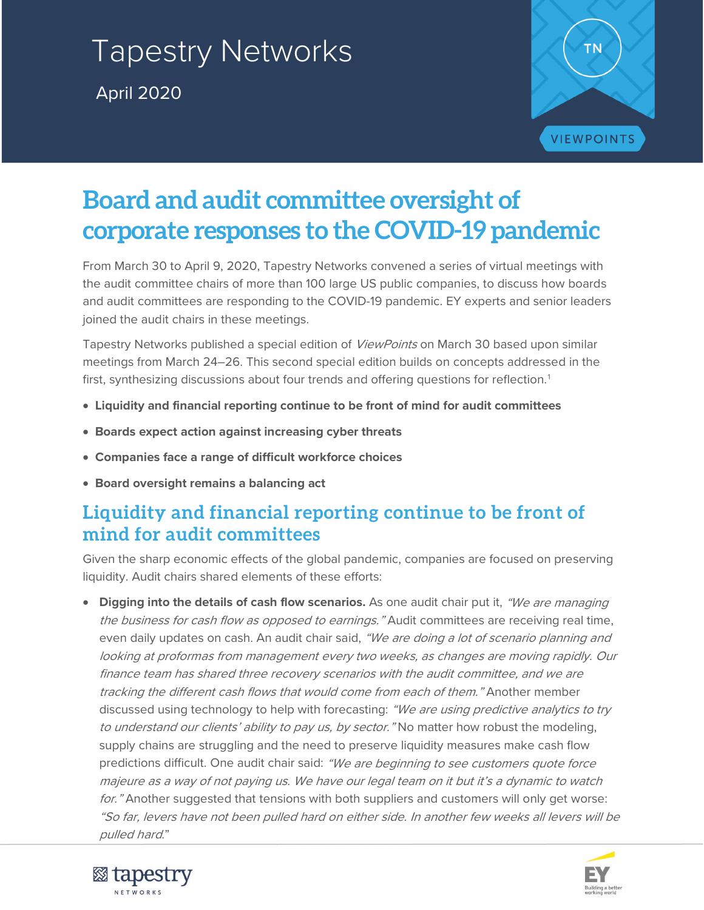# Tapestry Networks April 2020



## **Board and audit committee oversight of corporate responses to the COVID-19 pandemic**

From March 30 to April 9, 2020, Tapestry Networks convened a series of virtual meetings with the audit committee chairs of more than 100 large US public companies, to discuss how boards and audit committees are responding to the COVID-19 pandemic. EY experts and senior leaders joined the audit chairs in these meetings.

Tapestry Networks published a special edition of *ViewPoints* on March 30 based upon similar meetings from March 24–26. This second special edition builds on concepts addressed in the first, synthesizing discussions about four trends and offering questions for reflection.<sup>[1](#page-6-0)</sup>

- **Liquidity and financial reporting continue to be front of mind for audit committees**
- **Boards expect action against increasing cyber threats**
- **Companies face a range of difficult workforce choices**
- **Board oversight remains a balancing act**

## **Liquidity and financial reporting continue to be front of mind for audit committees**

Given the sharp economic effects of the global pandemic, companies are focused on preserving liquidity. Audit chairs shared elements of these efforts:

• **Digging into the details of cash flow scenarios.** As one audit chair put it, "We are managing the business for cash flow as opposed to earnings." Audit committees are receiving real time, even daily updates on cash. An audit chair said, "We are doing a lot of scenario planning and looking at proformas from management every two weeks, as changes are moving rapidly. Our finance team has shared three recovery scenarios with the audit committee, and we are tracking the different cash flows that would come from each of them." Another member discussed using technology to help with forecasting: "We are using predictive analytics to try to understand our clients' ability to pay us, by sector. "No matter how robust the modeling, supply chains are struggling and the need to preserve liquidity measures make cash flow predictions difficult. One audit chair said: "We are beginning to see customers quote force majeure as a way of not paying us. We have our legal team on it but it's a dynamic to watch for." Another suggested that tensions with both suppliers and customers will only get worse: "So far, levers have not been pulled hard on either side. In another few weeks all levers will be pulled hard."



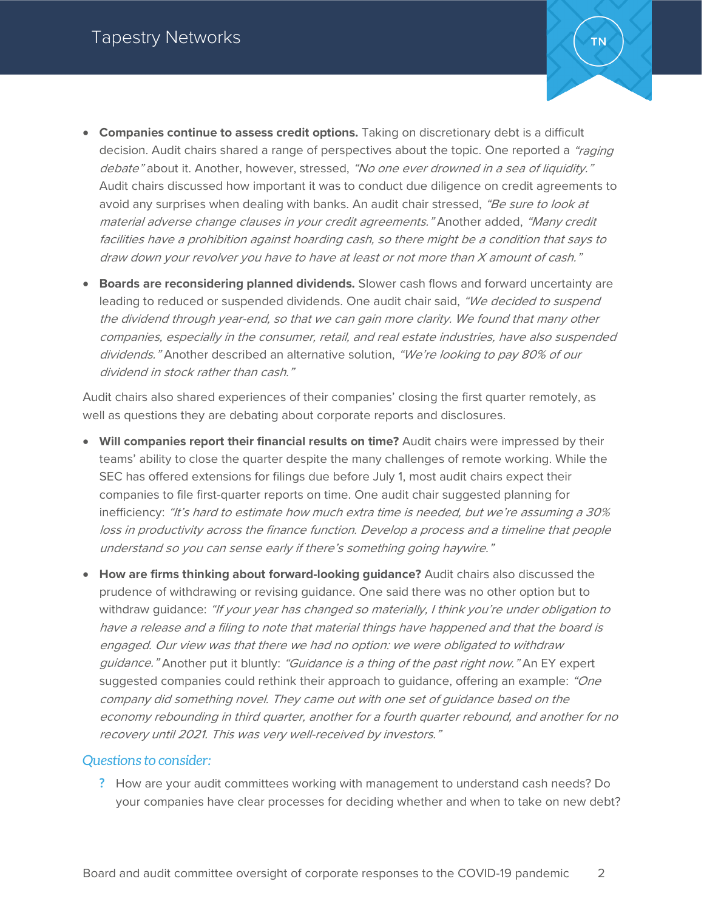- **Companies continue to assess credit options.** Taking on discretionary debt is a difficult decision. Audit chairs shared a range of perspectives about the topic. One reported a "raging" debate" about it. Another, however, stressed, "No one ever drowned in a sea of liquidity." Audit chairs discussed how important it was to conduct due diligence on credit agreements to avoid any surprises when dealing with banks. An audit chair stressed, "Be sure to look at material adverse change clauses in your credit agreements." Another added, "Many credit facilities have a prohibition against hoarding cash, so there might be a condition that says to draw down your revolver you have to have at least or not more than X amount of cash."
- **Boards are reconsidering planned dividends.** Slower cash flows and forward uncertainty are leading to reduced or suspended dividends. One audit chair said, "We decided to suspend the dividend through year-end, so that we can gain more clarity. We found that many other companies, especially in the consumer, retail, and real estate industries, have also suspended dividends." Another described an alternative solution, "We're looking to pay 80% of our dividend in stock rather than cash."

Audit chairs also shared experiences of their companies' closing the first quarter remotely, as well as questions they are debating about corporate reports and disclosures.

- **Will companies report their financial results on time?** Audit chairs were impressed by their teams' ability to close the quarter despite the many challenges of remote working. While the SEC has offered extensions for filings due before July 1, most audit chairs expect their companies to file first-quarter reports on time. One audit chair suggested planning for inefficiency: "It's hard to estimate how much extra time is needed, but we're assuming a 30% loss in productivity across the finance function. Develop a process and a timeline that people understand so you can sense early if there's something going haywire."
- **How are firms thinking about forward-looking guidance?** Audit chairs also discussed the prudence of withdrawing or revising guidance. One said there was no other option but to withdraw guidance: "If your year has changed so materially, I think you're under obligation to have a release and a filing to note that material things have happened and that the board is engaged. Our view was that there we had no option: we were obligated to withdraw guidance." Another put it bluntly: "Guidance is a thing of the past right now." An EY expert suggested companies could rethink their approach to guidance, offering an example: "One company did something novel. They came out with one set of guidance based on the economy rebounding in third quarter, another for a fourth quarter rebound, and another for no recovery until 2021. This was very well-received by investors."

#### *Questions to consider:*

**?** How are your audit committees working with management to understand cash needs? Do your companies have clear processes for deciding whether and when to take on new debt?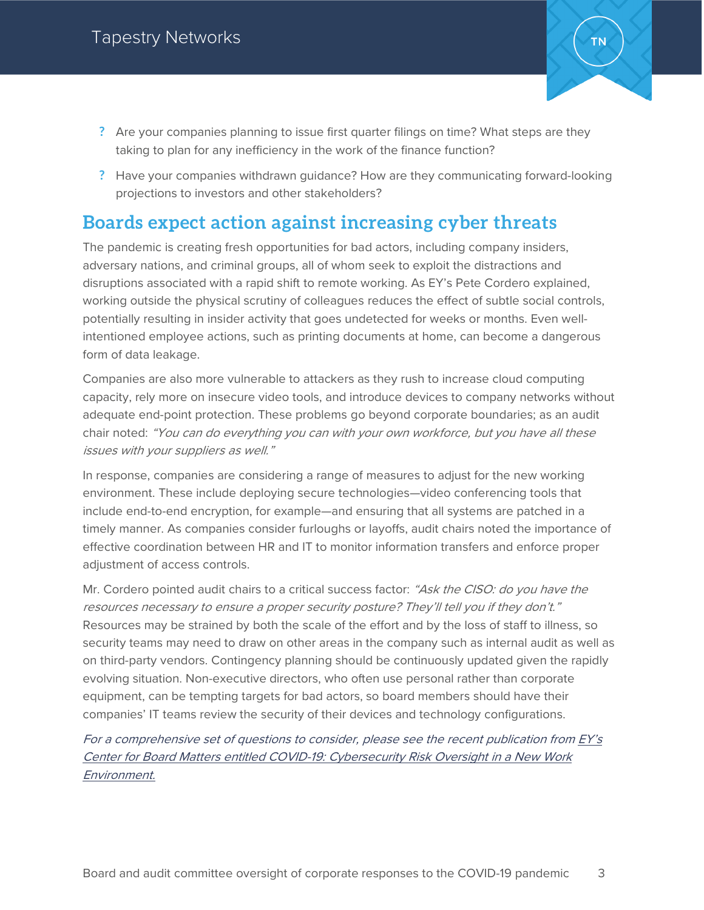

- **?** Are your companies planning to issue first quarter filings on time? What steps are they taking to plan for any inefficiency in the work of the finance function?
- **?** Have your companies withdrawn guidance? How are they communicating forward-looking projections to investors and other stakeholders?

### **Boards expect action against increasing cyber threats**

The pandemic is creating fresh opportunities for bad actors, including company insiders, adversary nations, and criminal groups, all of whom seek to exploit the distractions and disruptions associated with a rapid shift to remote working. As EY's Pete Cordero explained, working outside the physical scrutiny of colleagues reduces the effect of subtle social controls, potentially resulting in insider activity that goes undetected for weeks or months. Even wellintentioned employee actions, such as printing documents at home, can become a dangerous form of data leakage.

Companies are also more vulnerable to attackers as they rush to increase cloud computing capacity, rely more on insecure video tools, and introduce devices to company networks without adequate end-point protection. These problems go beyond corporate boundaries; as an audit chair noted: "You can do everything you can with your own workforce, but you have all these issues with your suppliers as well."

In response, companies are considering a range of measures to adjust for the new working environment. These include deploying secure technologies—video conferencing tools that include end-to-end encryption, for example—and ensuring that all systems are patched in a timely manner. As companies consider furloughs or layoffs, audit chairs noted the importance of effective coordination between HR and IT to monitor information transfers and enforce proper adjustment of access controls.

Mr. Cordero pointed audit chairs to a critical success factor: "Ask the CISO: do you have the resources necessary to ensure a proper security posture? They'll tell you if they don't." Resources may be strained by both the scale of the effort and by the loss of staff to illness, so security teams may need to draw on other areas in the company such as internal audit as well as on third-party vendors. Contingency planning should be continuously updated given the rapidly evolving situation. Non-executive directors, who often use personal rather than corporate equipment, can be tempting targets for bad actors, so board members should have their companies' IT teams review the security of their devices and technology configurations.

For a comprehensive set of questions to consider, please see the recent publication from [EY's](https://www.ey.com/en_us/board-matters/how-to-oversee-cybersecurity-risk-in-growing-virtual-work-environment)  Center for Board Matters entitled [COVID-19: Cybersecurity Risk Oversight in a New Work](https://www.ey.com/en_us/board-matters/how-to-oversee-cybersecurity-risk-in-growing-virtual-work-environment)  [Environment.](https://www.ey.com/en_us/board-matters/how-to-oversee-cybersecurity-risk-in-growing-virtual-work-environment)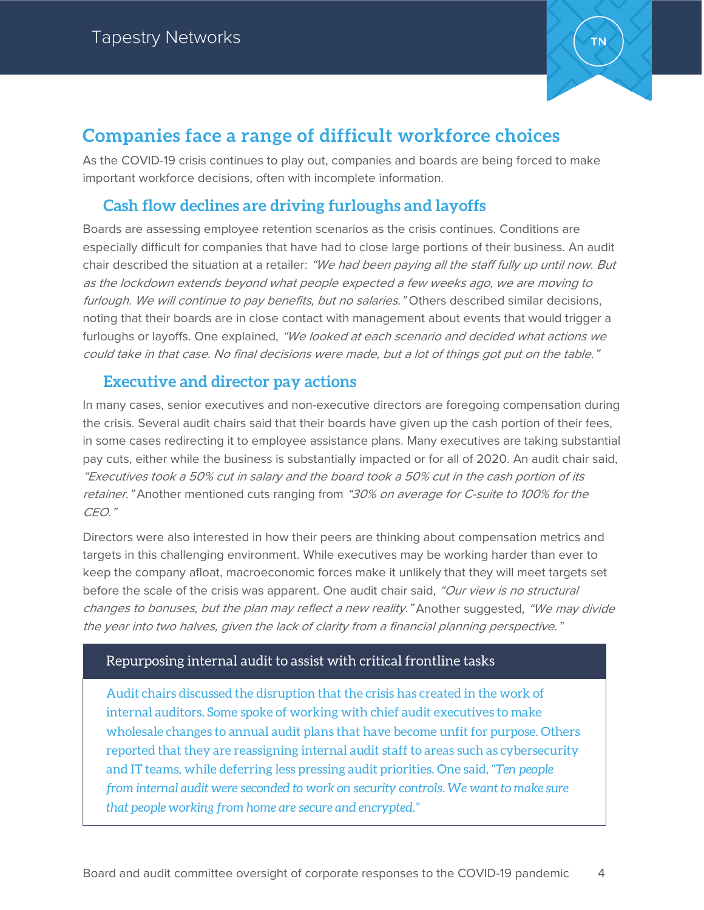

## **Companies face a range of difficult workforce choices**

As the COVID-19 crisis continues to play out, companies and boards are being forced to make important workforce decisions, often with incomplete information.

### **Cash flow declines are driving furloughs and layoffs**

Boards are assessing employee retention scenarios as the crisis continues. Conditions are especially difficult for companies that have had to close large portions of their business. An audit chair described the situation at a retailer: "We had been paying all the staff fully up until now. But as the lockdown extends beyond what people expected a few weeks ago, we are moving to furlough. We will continue to pay benefits, but no salaries." Others described similar decisions, noting that their boards are in close contact with management about events that would trigger a furloughs or layoffs. One explained, "We looked at each scenario and decided what actions we could take in that case. No final decisions were made, but a lot of things got put on the table."

#### **Executive and director pay actions**

In many cases, senior executives and non-executive directors are foregoing compensation during the crisis. Several audit chairs said that their boards have given up the cash portion of their fees, in some cases redirecting it to employee assistance plans. Many executives are taking substantial pay cuts, either while the business is substantially impacted or for all of 2020. An audit chair said, "Executives took a 50% cut in salary and the board took a 50% cut in the cash portion of its retainer." Another mentioned cuts ranging from "30% on average for C-suite to 100% for the CEO."

Directors were also interested in how their peers are thinking about compensation metrics and targets in this challenging environment. While executives may be working harder than ever to keep the company afloat, macroeconomic forces make it unlikely that they will meet targets set before the scale of the crisis was apparent. One audit chair said, "Our view is no structural changes to bonuses, but the plan may reflect a new reality." Another suggested, "We may divide the year into two halves, given the lack of clarity from a financial planning perspective."

#### Repurposing internal audit to assist with critical frontline tasks

Audit chairs discussed the disruption that the crisis has created in the work of internal auditors. Some spoke of working with chief audit executives to make wholesale changes to annual audit plans that have become unfit for purpose. Others reported that they are reassigning internal audit staff to areas such as cybersecurity and IT teams, while deferring less pressing audit priorities. One said, *"Ten people from internal audit were seconded to work on security controls. We want to make sure that people working from home are secure and encrypted."*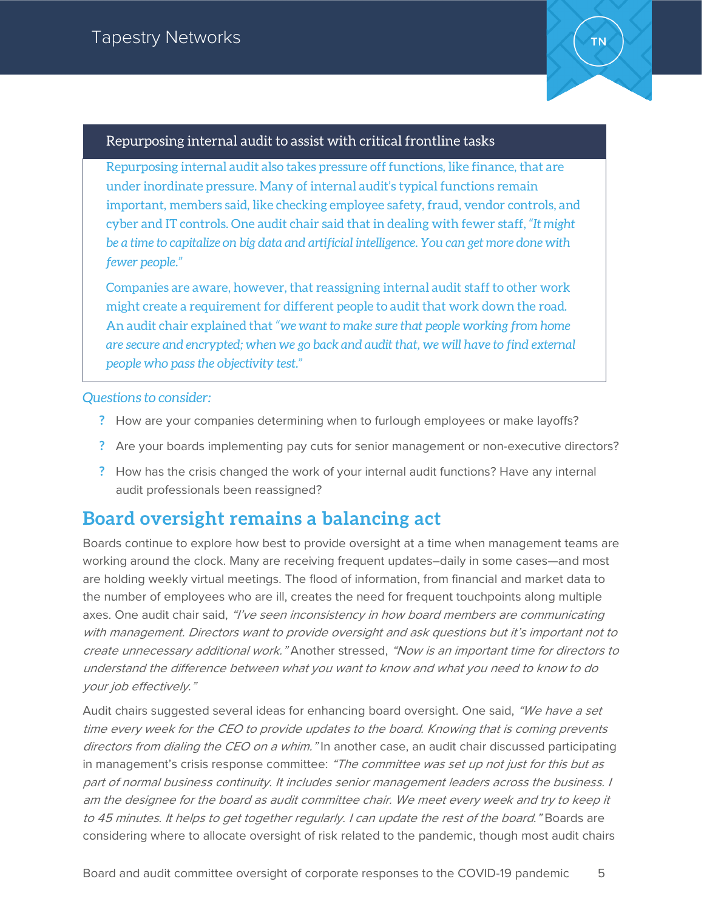

#### Repurposing internal audit to assist with critical frontline tasks

Repurposing internal audit also takes pressure off functions, like finance, that are under inordinate pressure. Many of internal audit's typical functions remain important, members said, like checking employee safety, fraud, vendor controls, and cyber and IT controls. One audit chair said that in dealing with fewer staff, *"It might be a time to capitalize on big data and artificial intelligence. You can get more done with fewer people."*

Companies are aware, however, that reassigning internal audit staff to other work might create a requirement for different people to audit that work down the road. An audit chair explained that *"we want to make sure that people working from home are secure and encrypted; when we go back and audit that, we will have to find external people who pass the objectivity test."*

#### *Questions to consider:*

- **?** How are your companies determining when to furlough employees or make layoffs?
- **?** Are your boards implementing pay cuts for senior management or non-executive directors?
- **?** How has the crisis changed the work of your internal audit functions? Have any internal audit professionals been reassigned?

## **Board oversight remains a balancing act**

Boards continue to explore how best to provide oversight at a time when management teams are working around the clock. Many are receiving frequent updates–daily in some cases—and most are holding weekly virtual meetings. The flood of information, from financial and market data to the number of employees who are ill, creates the need for frequent touchpoints along multiple axes. One audit chair said, "I've seen inconsistency in how board members are communicating with management. Directors want to provide oversight and ask questions but it's important not to create unnecessary additional work." Another stressed, "Now is an important time for directors to understand the difference between what you want to know and what you need to know to do your job effectively."

Audit chairs suggested several ideas for enhancing board oversight. One said, "We have a set time every week for the CEO to provide updates to the board. Knowing that is coming prevents directors from dialing the CEO on a whim." In another case, an audit chair discussed participating in management's crisis response committee: "The committee was set up not just for this but as part of normal business continuity. It includes senior management leaders across the business. I am the designee for the board as audit committee chair. We meet every week and try to keep it to 45 minutes. It helps to get together regularly. I can update the rest of the board." Boards are considering where to allocate oversight of risk related to the pandemic, though most audit chairs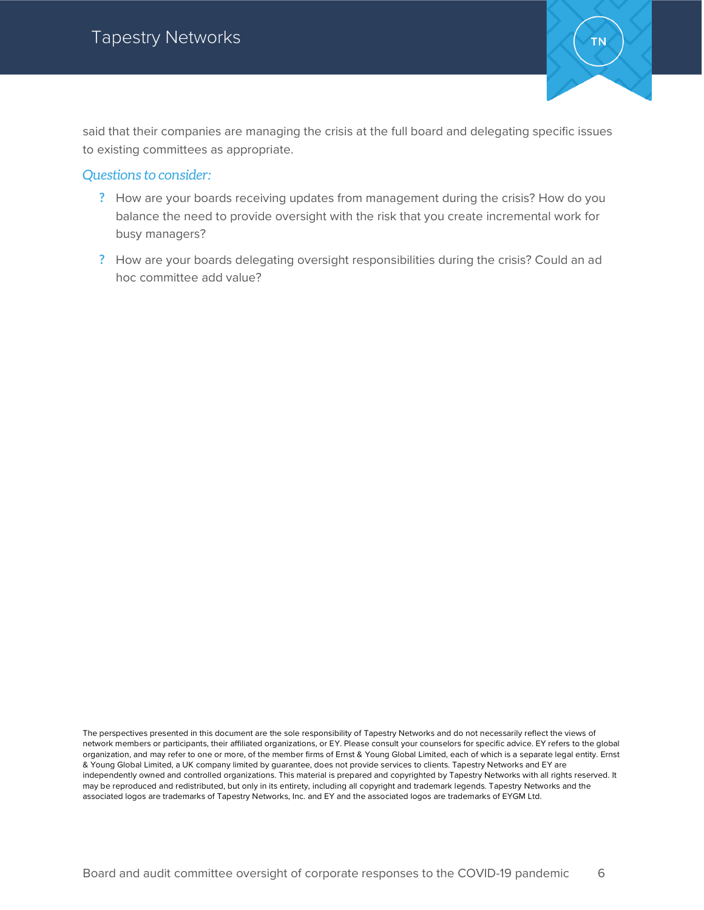

said that their companies are managing the crisis at the full board and delegating specific issues to existing committees as appropriate.

#### *Questions to consider:*

- **?** How are your boards receiving updates from management during the crisis? How do you balance the need to provide oversight with the risk that you create incremental work for busy managers?
- **?** How are your boards delegating oversight responsibilities during the crisis? Could an ad hoc committee add value?

The perspectives presented in this document are the sole responsibility of Tapestry Networks and do not necessarily reflect the views of network members or participants, their affiliated organizations, or EY. Please consult your counselors for specific advice. EY refers to the global organization, and may refer to one or more, of the member firms of Ernst & Young Global Limited, each of which is a separate legal entity. Ernst & Young Global Limited, a UK company limited by guarantee, does not provide services to clients. Tapestry Networks and EY are independently owned and controlled organizations. This material is prepared and copyrighted by Tapestry Networks with all rights reserved. It may be reproduced and redistributed, but only in its entirety, including all copyright and trademark legends. Tapestry Networks and the associated logos are trademarks of Tapestry Networks, Inc. and EY and the associated logos are trademarks of EYGM Ltd.